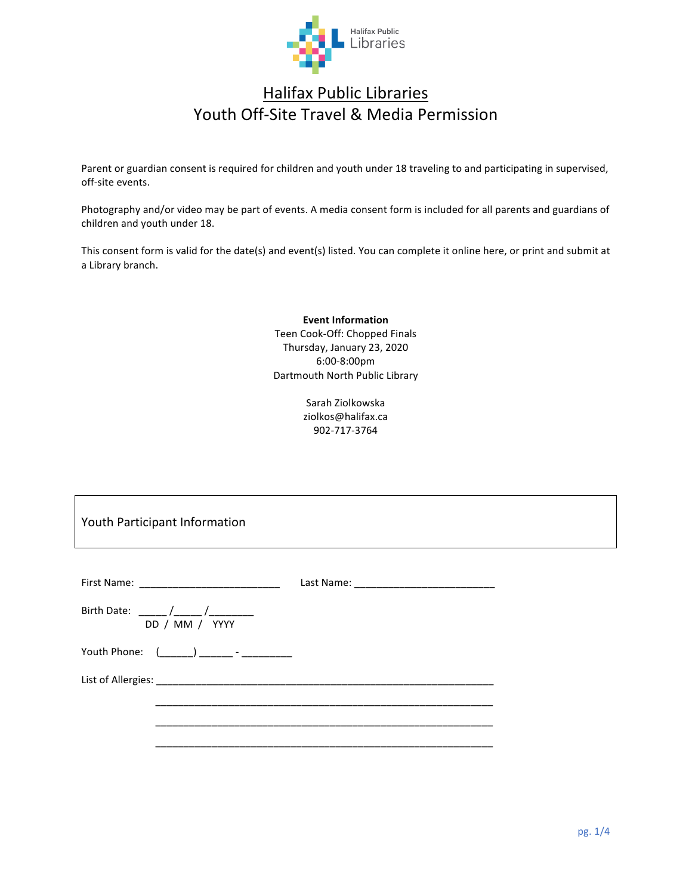

# **Halifax Public Libraries** Youth Off-Site Travel & Media Permission

Parent or guardian consent is required for children and youth under 18 traveling to and participating in supervised, off-site events.

Photography and/or video may be part of events. A media consent form is included for all parents and guardians of children and youth under 18.

This consent form is valid for the date(s) and event(s) listed. You can complete it online here, or print and submit at a Library branch.

> **Event Information** Teen Cook-Off: Chopped Finals Thursday, January 23, 2020 6:00-8:00pm Dartmouth North Public Library

> > Sarah Ziolkowska ziolkos@halifax.ca 902-717-3764

Youth Participant Information

| DD / MM / YYYY                                 |  |
|------------------------------------------------|--|
| Youth Phone: (_______) ________ - ____________ |  |
|                                                |  |
|                                                |  |
|                                                |  |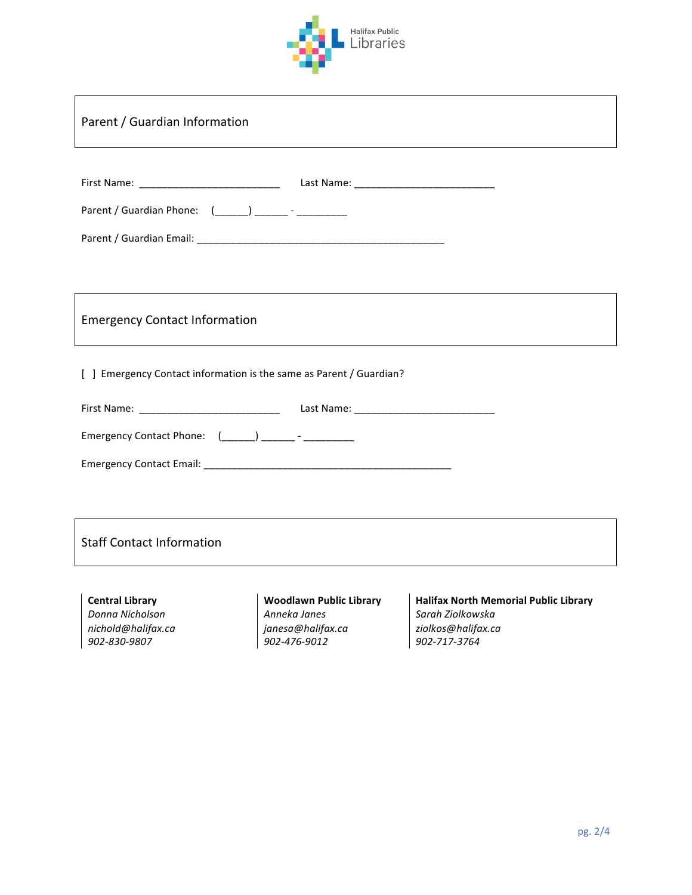

| Parent / Guardian Information                                                   |                                                                                     |                                                                                                        |  |  |  |  |
|---------------------------------------------------------------------------------|-------------------------------------------------------------------------------------|--------------------------------------------------------------------------------------------------------|--|--|--|--|
| Parent / Guardian Phone: (_____) ______- - __________                           |                                                                                     |                                                                                                        |  |  |  |  |
| <b>Emergency Contact Information</b>                                            |                                                                                     |                                                                                                        |  |  |  |  |
| [ ] Emergency Contact information is the same as Parent / Guardian?             |                                                                                     |                                                                                                        |  |  |  |  |
| Emergency Contact Phone: (______) _______- - ____________                       |                                                                                     |                                                                                                        |  |  |  |  |
| <b>Staff Contact Information</b>                                                |                                                                                     |                                                                                                        |  |  |  |  |
| <b>Central Library</b><br>Donna Nicholson<br>nichold@halifax.ca<br>902-830-9807 | <b>Woodlawn Public Library</b><br>Anneka Janes<br>janesa@halifax.ca<br>902-476-9012 | <b>Halifax North Memorial Public Library</b><br>Sarah Ziolkowska<br>ziolkos@halifax.ca<br>902-717-3764 |  |  |  |  |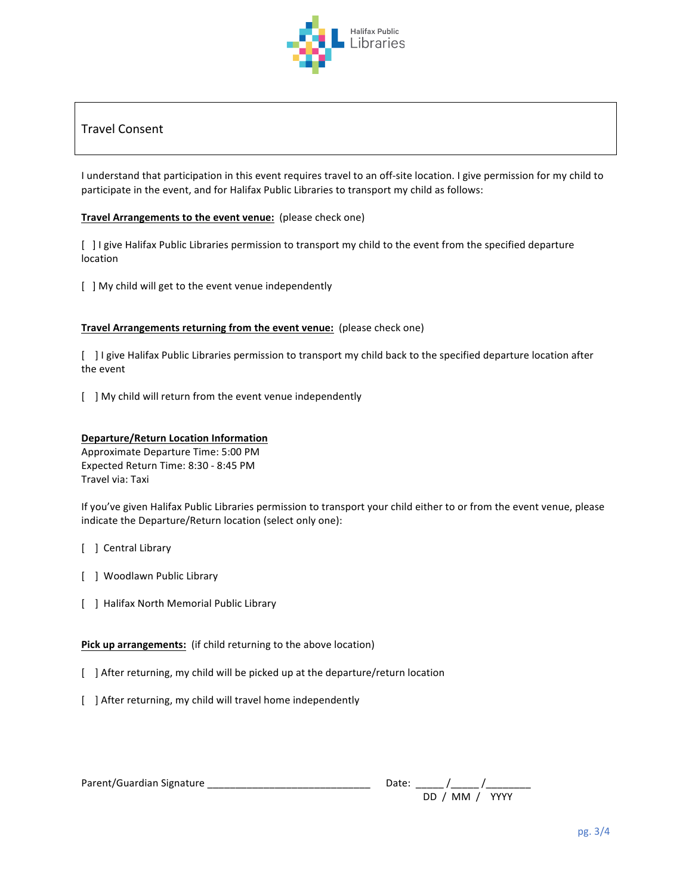

# Travel Consent

I understand that participation in this event requires travel to an off-site location. I give permission for my child to participate in the event, and for Halifax Public Libraries to transport my child as follows:

## **Travel Arrangements to the event venue:** (please check one)

[ ] I give Halifax Public Libraries permission to transport my child to the event from the specified departure location

[ ] My child will get to the event venue independently

#### **Travel Arrangements returning from the event venue:** (please check one)

[  $\Box$  I give Halifax Public Libraries permission to transport my child back to the specified departure location after the event

[ ] My child will return from the event venue independently

## **Departure/Return Location Information**

Approximate Departure Time: 5:00 PM Expected Return Time: 8:30 - 8:45 PM Travel via: Taxi

If you've given Halifax Public Libraries permission to transport your child either to or from the event venue, please indicate the Departure/Return location (select only one):

- [ ] Central Library
- [ ] Woodlawn Public Library
- [ ] Halifax North Memorial Public Library

Pick up arrangements: (if child returning to the above location)

- [ ] After returning, my child will be picked up at the departure/return location
- [ ] After returning, my child will travel home independently

| Parent/Guardian Signature | Date: |                |  |
|---------------------------|-------|----------------|--|
|                           |       | DD / MM / YYYY |  |